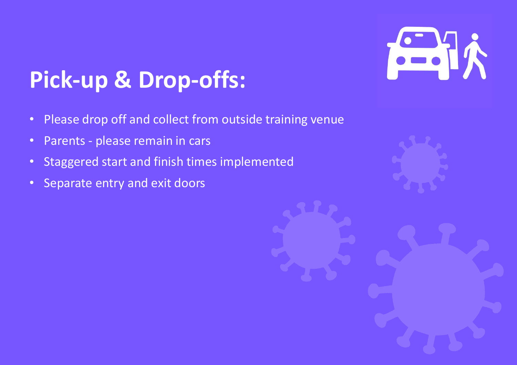# **Pick-up & Drop-offs:**

- Please drop off and collect from outside training venue
- Parents please remain in cars
- Staggered start and finish times implemented
- Separate entry and exit doors

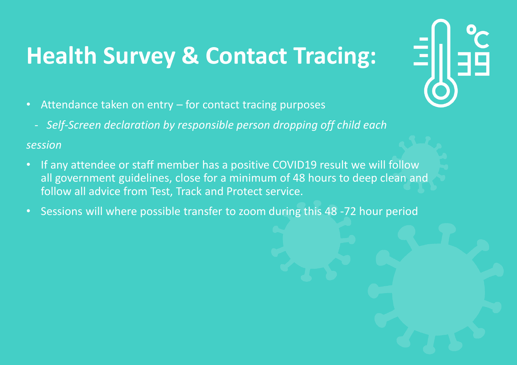### **Health Survey & Contact Tracing:**

- Attendance taken on entry for contact tracing purposes
	- *- Self-Screen declaration by responsible person dropping off child each*

#### *session*

• If any attendee or staff member has a positive COVID19 result we will follow all government guidelines, close for a minimum of 48 hours to deep clean and follow all advice from Test, Track and Protect service.

테

• Sessions will where possible transfer to zoom during this 48 -72 hour period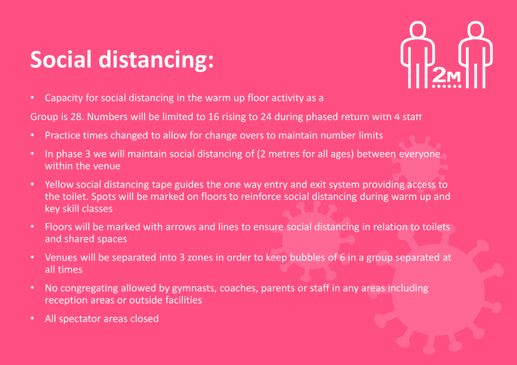## **Social distancing:**



• Capacity for social distancing in the warm up floor activity as a

Group is 28. Numbers will be limited to 16 rising to 24 during phased return with 4 staff

- Practice times changed to allow for change overs to maintain number limits
- In phase 3 we will maintain social distancing of (2 metres for all ages) between everyone within the venue
- Yellow social distancing tape guides the one way entry and exit system providing access to the toilet. Spots will be marked on floors to reinforce social distancing during warm up and key skill classes
- Floors will be marked with arrows and lines to ensure social distancing in relation to toilets and shared spaces
- Venues will be separated into 3 zones in order to keep bubbles of 6 in a group separated at all times
- No congregating allowed by gymnasts, coaches, parents or staff in any areas including reception areas or outside facilities
- All spectator areas closed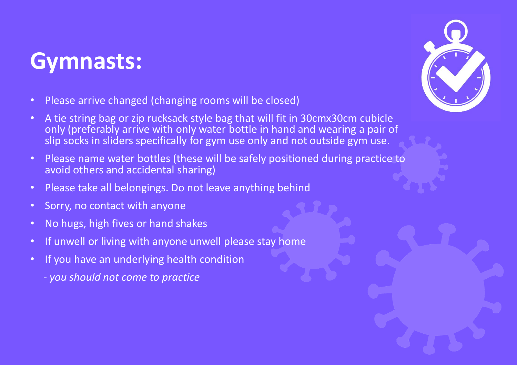#### **Gymnasts:**

- Please arrive changed (changing rooms will be closed)
- A tie string bag or zip rucksack style bag that will fit in 30cmx30cm cubicle only (preferably arrive with only water bottle in hand and wearing a pair of slip socks in sliders specifically for gym use only and not outside gym use.
- Please name water bottles (these will be safely positioned during practice to avoid others and accidental sharing)
- Please take all belongings. Do not leave anything behind
- Sorry, no contact with anyone
- No hugs, high fives or hand shakes
- If unwell or living with anyone unwell please stay home
- If you have an underlying health condition
	- *- you should not come to practice*

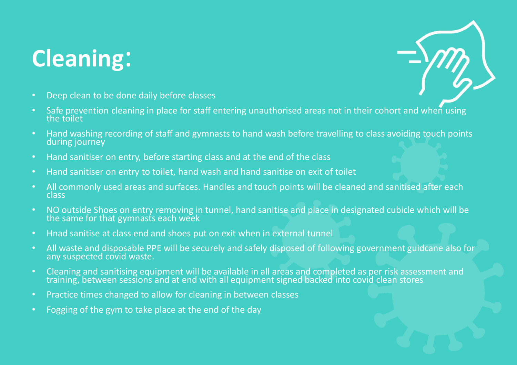## **Cleaning**:

- Deep clean to be done daily before classes
- Safe prevention cleaning in place for staff entering unauthorised areas not in their cohort and when using the toilet
- Hand washing recording of staff and gymnasts to hand wash before travelling to class avoiding touch points during journey
- Hand sanitiser on entry, before starting class and at the end of the class
- Hand sanitiser on entry to toilet, hand wash and hand sanitise on exit of toilet
- All commonly used areas and surfaces. Handles and touch points will be cleaned and sanitised after each class
- NO outside Shoes on entry removing in tunnel, hand sanitise and place in designated cubicle which will be the same for that gymnasts each week
- Hnad sanitise at class end and shoes put on exit when in external tunnel
- All waste and disposable PPE will be securely and safely disposed of following government guidcane also for any suspected covid waste.
- Cleaning and sanitising equipment will be available in all areas and completed as per risk assessment and training, between sessions and at end with all equipment signed backed into covid clean stores
- Practice times changed to allow for cleaning in between classes
- Fogging of the gym to take place at the end of the day